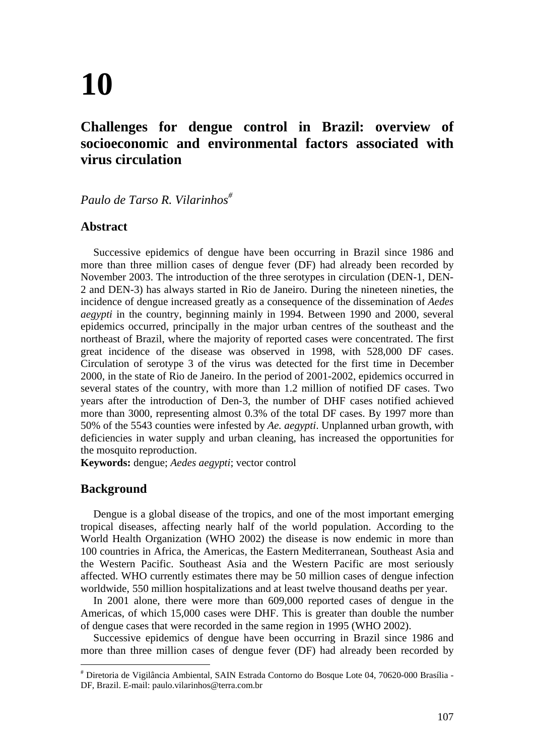# **10**

# **Challenges for dengue control in Brazil: overview of socioeconomic and environmental factors associated with virus circulation**

*Paulo de Tarso R. Vilarinhos#*

### **Abstract**

Successive epidemics of dengue have been occurring in Brazil since 1986 and more than three million cases of dengue fever (DF) had already been recorded by November 2003. The introduction of the three serotypes in circulation (DEN-1, DEN-2 and DEN-3) has always started in Rio de Janeiro. During the nineteen nineties, the incidence of dengue increased greatly as a consequence of the dissemination of *Aedes aegypti* in the country, beginning mainly in 1994. Between 1990 and 2000, several epidemics occurred, principally in the major urban centres of the southeast and the northeast of Brazil, where the majority of reported cases were concentrated. The first great incidence of the disease was observed in 1998, with 528,000 DF cases. Circulation of serotype 3 of the virus was detected for the first time in December 2000, in the state of Rio de Janeiro. In the period of 2001-2002, epidemics occurred in several states of the country, with more than 1.2 million of notified DF cases. Two years after the introduction of Den-3, the number of DHF cases notified achieved more than 3000, representing almost 0.3% of the total DF cases. By 1997 more than 50% of the 5543 counties were infested by *Ae. aegypti*. Unplanned urban growth, with deficiencies in water supply and urban cleaning, has increased the opportunities for the mosquito reproduction.

**Keywords:** dengue; *Aedes aegypti*; vector control

## **Background**

Dengue is a global disease of the tropics, and one of the most important emerging tropical diseases, affecting nearly half of the world population. According to the World Health Organization (WHO 2002) the disease is now endemic in more than 100 countries in Africa, the Americas, the Eastern Mediterranean, Southeast Asia and the Western Pacific. Southeast Asia and the Western Pacific are most seriously affected. WHO currently estimates there may be 50 million cases of dengue infection worldwide, 550 million hospitalizations and at least twelve thousand deaths per year.

In 2001 alone, there were more than 609,000 reported cases of dengue in the Americas, of which 15,000 cases were DHF. This is greater than double the number of dengue cases that were recorded in the same region in 1995 (WHO 2002).

Successive epidemics of dengue have been occurring in Brazil since 1986 and more than three million cases of dengue fever (DF) had already been recorded by

<sup>#</sup> Diretoria de Vigilância Ambiental, SAIN Estrada Contorno do Bosque Lote 04, 70620-000 Brasília - DF, Brazil. E-mail: paulo.vilarinhos@terra.com.br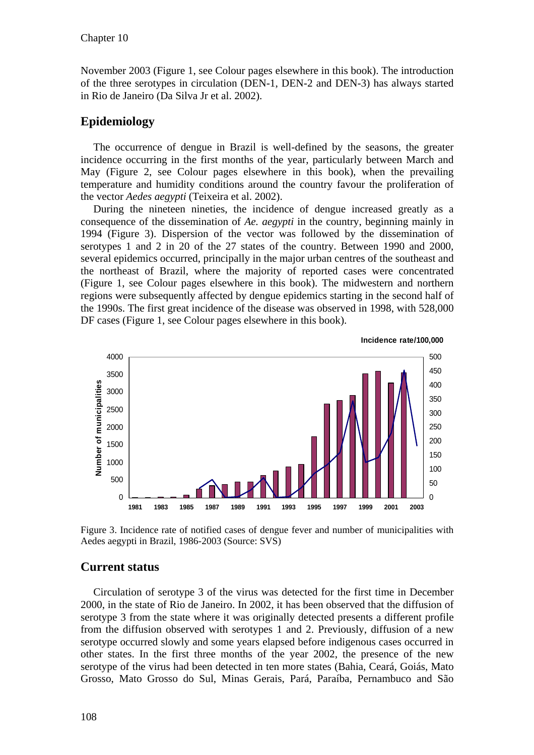November 2003 (Figure 1, see Colour pages elsewhere in this book). The introduction of the three serotypes in circulation (DEN-1, DEN-2 and DEN-3) has always started in Rio de Janeiro (Da Silva Jr et al. 2002).

### **Epidemiology**

The occurrence of dengue in Brazil is well-defined by the seasons, the greater incidence occurring in the first months of the year, particularly between March and May (Figure 2, see Colour pages elsewhere in this book), when the prevailing temperature and humidity conditions around the country favour the proliferation of the vector *Aedes aegypti* (Teixeira et al. 2002).

During the nineteen nineties, the incidence of dengue increased greatly as a consequence of the dissemination of *Ae. aegypti* in the country, beginning mainly in 1994 (Figure 3). Dispersion of the vector was followed by the dissemination of serotypes 1 and 2 in 20 of the 27 states of the country. Between 1990 and 2000, several epidemics occurred, principally in the major urban centres of the southeast and the northeast of Brazil, where the majority of reported cases were concentrated (Figure 1, see Colour pages elsewhere in this book). The midwestern and northern regions were subsequently affected by dengue epidemics starting in the second half of the 1990s. The first great incidence of the disease was observed in 1998, with 528,000 DF cases (Figure 1, see Colour pages elsewhere in this book).



**Incidence rate/100,000**

Figure 3. Incidence rate of notified cases of dengue fever and number of municipalities with Aedes aegypti in Brazil, 1986-2003 (Source: SVS)

#### **Current status**

Circulation of serotype 3 of the virus was detected for the first time in December 2000, in the state of Rio de Janeiro. In 2002, it has been observed that the diffusion of serotype 3 from the state where it was originally detected presents a different profile from the diffusion observed with serotypes 1 and 2. Previously, diffusion of a new serotype occurred slowly and some years elapsed before indigenous cases occurred in other states. In the first three months of the year 2002, the presence of the new serotype of the virus had been detected in ten more states (Bahia, Ceará, Goiás, Mato Grosso, Mato Grosso do Sul, Minas Gerais, Pará, Paraíba, Pernambuco and São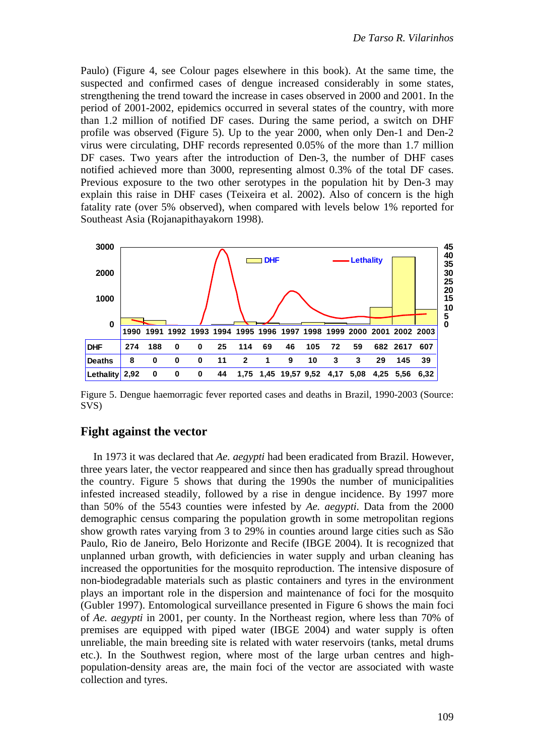Paulo) (Figure 4, see Colour pages elsewhere in this book). At the same time, the suspected and confirmed cases of dengue increased considerably in some states, strengthening the trend toward the increase in cases observed in 2000 and 2001. In the period of 2001-2002, epidemics occurred in several states of the country, with more than 1.2 million of notified DF cases. During the same period, a switch on DHF profile was observed (Figure 5). Up to the year 2000, when only Den-1 and Den-2 virus were circulating, DHF records represented 0.05% of the more than 1.7 million DF cases. Two years after the introduction of Den-3, the number of DHF cases notified achieved more than 3000, representing almost 0.3% of the total DF cases. Previous exposure to the two other serotypes in the population hit by Den-3 may explain this raise in DHF cases (Teixeira et al. 2002). Also of concern is the high fatality rate (over 5% observed), when compared with levels below 1% reported for Southeast Asia (Rojanapithayakorn 1998).



Figure 5. Dengue haemorragic fever reported cases and deaths in Brazil, 1990-2003 (Source: SVS)

#### **Fight against the vector**

In 1973 it was declared that *Ae. aegypti* had been eradicated from Brazil. However, three years later, the vector reappeared and since then has gradually spread throughout the country. Figure 5 shows that during the 1990s the number of municipalities infested increased steadily, followed by a rise in dengue incidence. By 1997 more than 50% of the 5543 counties were infested by *Ae. aegypti*. Data from the 2000 demographic census comparing the population growth in some metropolitan regions show growth rates varying from 3 to 29% in counties around large cities such as São Paulo, Rio de Janeiro, Belo Horizonte and Recife (IBGE 2004). It is recognized that unplanned urban growth, with deficiencies in water supply and urban cleaning has increased the opportunities for the mosquito reproduction. The intensive disposure of non-biodegradable materials such as plastic containers and tyres in the environment plays an important role in the dispersion and maintenance of foci for the mosquito (Gubler 1997). Entomological surveillance presented in Figure 6 shows the main foci of *Ae. aegypti* in 2001, per county. In the Northeast region, where less than 70% of premises are equipped with piped water (IBGE 2004) and water supply is often unreliable, the main breeding site is related with water reservoirs (tanks, metal drums etc.). In the Southwest region, where most of the large urban centres and highpopulation-density areas are, the main foci of the vector are associated with waste collection and tyres.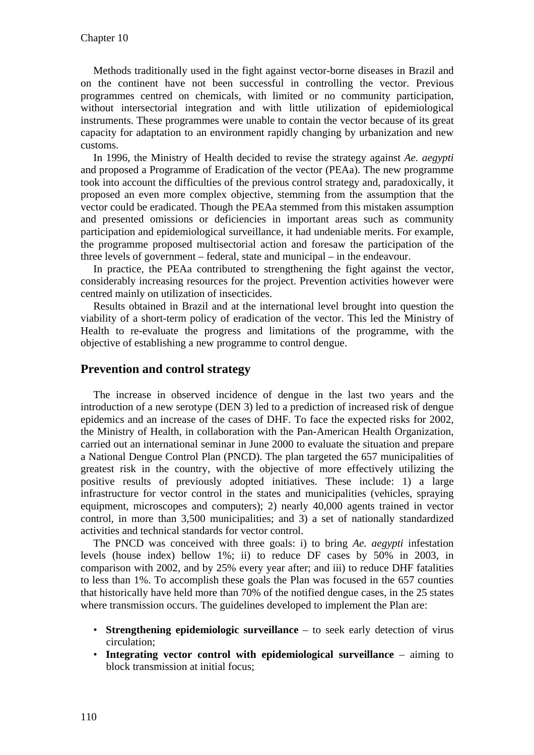Methods traditionally used in the fight against vector-borne diseases in Brazil and on the continent have not been successful in controlling the vector. Previous programmes centred on chemicals, with limited or no community participation, without intersectorial integration and with little utilization of epidemiological instruments. These programmes were unable to contain the vector because of its great capacity for adaptation to an environment rapidly changing by urbanization and new customs.

In 1996, the Ministry of Health decided to revise the strategy against *Ae. aegypti* and proposed a Programme of Eradication of the vector (PEAa). The new programme took into account the difficulties of the previous control strategy and, paradoxically, it proposed an even more complex objective, stemming from the assumption that the vector could be eradicated. Though the PEAa stemmed from this mistaken assumption and presented omissions or deficiencies in important areas such as community participation and epidemiological surveillance, it had undeniable merits. For example, the programme proposed multisectorial action and foresaw the participation of the three levels of government – federal, state and municipal – in the endeavour.

In practice, the PEAa contributed to strengthening the fight against the vector, considerably increasing resources for the project. Prevention activities however were centred mainly on utilization of insecticides.

Results obtained in Brazil and at the international level brought into question the viability of a short-term policy of eradication of the vector. This led the Ministry of Health to re-evaluate the progress and limitations of the programme, with the objective of establishing a new programme to control dengue.

### **Prevention and control strategy**

The increase in observed incidence of dengue in the last two years and the introduction of a new serotype (DEN 3) led to a prediction of increased risk of dengue epidemics and an increase of the cases of DHF. To face the expected risks for 2002, the Ministry of Health, in collaboration with the Pan-American Health Organization, carried out an international seminar in June 2000 to evaluate the situation and prepare a National Dengue Control Plan (PNCD). The plan targeted the 657 municipalities of greatest risk in the country, with the objective of more effectively utilizing the positive results of previously adopted initiatives. These include: 1) a large infrastructure for vector control in the states and municipalities (vehicles, spraying equipment, microscopes and computers); 2) nearly 40,000 agents trained in vector control, in more than 3,500 municipalities; and 3) a set of nationally standardized activities and technical standards for vector control.

The PNCD was conceived with three goals: i) to bring *Ae. aegypti* infestation levels (house index) bellow 1%; ii) to reduce DF cases by 50% in 2003, in comparison with 2002, and by 25% every year after; and iii) to reduce DHF fatalities to less than 1%. To accomplish these goals the Plan was focused in the 657 counties that historically have held more than 70% of the notified dengue cases, in the 25 states where transmission occurs. The guidelines developed to implement the Plan are:

- **Strengthening epidemiologic surveillance**  to seek early detection of virus circulation;
- **Integrating vector control with epidemiological surveillance** aiming to block transmission at initial focus;